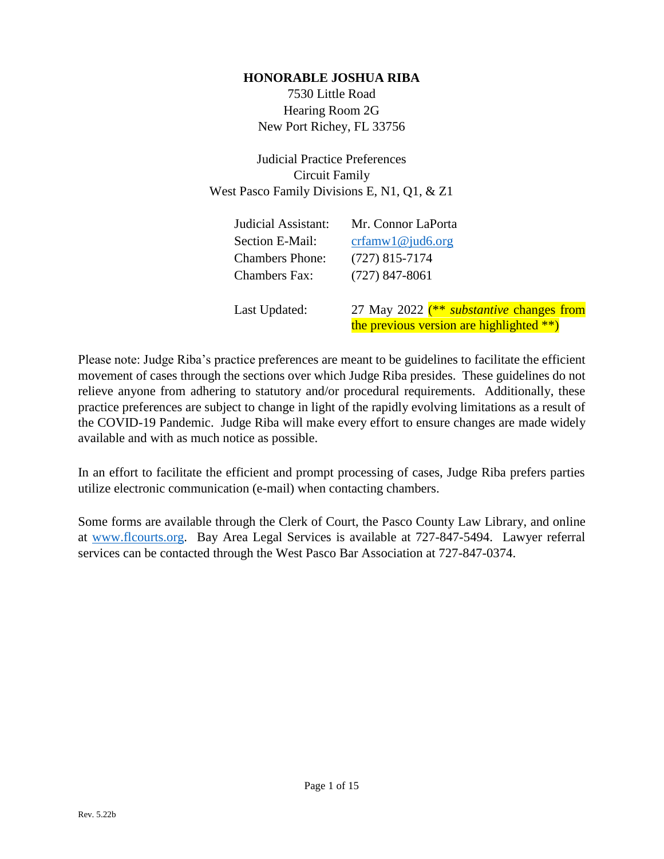#### **HONORABLE JOSHUA RIBA**

7530 Little Road Hearing Room 2G New Port Richey, FL 33756

Judicial Practice Preferences Circuit Family West Pasco Family Divisions E, N1, Q1, & Z1

| Judicial Assistant:    | Mr. Connor LaPorta                              |
|------------------------|-------------------------------------------------|
| Section E-Mail:        | crfamw1@jud6.org                                |
| <b>Chambers Phone:</b> | $(727)$ 815-7174                                |
| <b>Chambers Fax:</b>   | $(727)$ 847-8061                                |
| Last Updated:          | 27 May 2022 (** <i>substantive</i> changes from |
|                        | the previous version are highlighted **)        |

Please note: Judge Riba's practice preferences are meant to be guidelines to facilitate the efficient movement of cases through the sections over which Judge Riba presides. These guidelines do not relieve anyone from adhering to statutory and/or procedural requirements. Additionally, these practice preferences are subject to change in light of the rapidly evolving limitations as a result of the COVID-19 Pandemic. Judge Riba will make every effort to ensure changes are made widely available and with as much notice as possible.

In an effort to facilitate the efficient and prompt processing of cases, Judge Riba prefers parties utilize electronic communication (e-mail) when contacting chambers.

Some forms are available through the Clerk of Court, the Pasco County Law Library, and online at [www.flcourts.org.](http://www.flcourts.org/) Bay Area Legal Services is available at 727-847-5494. Lawyer referral services can be contacted through the West Pasco Bar Association at 727-847-0374.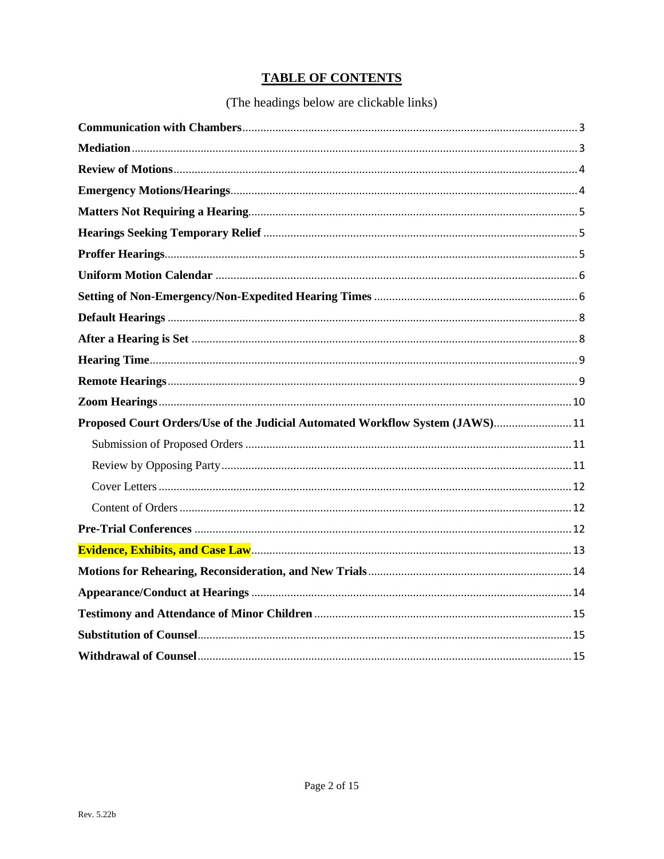# **TABLE OF CONTENTS**

# (The headings below are clickable links)

| Proposed Court Orders/Use of the Judicial Automated Workflow System (JAWS) 11 |  |
|-------------------------------------------------------------------------------|--|
|                                                                               |  |
|                                                                               |  |
|                                                                               |  |
|                                                                               |  |
|                                                                               |  |
|                                                                               |  |
|                                                                               |  |
|                                                                               |  |
|                                                                               |  |
|                                                                               |  |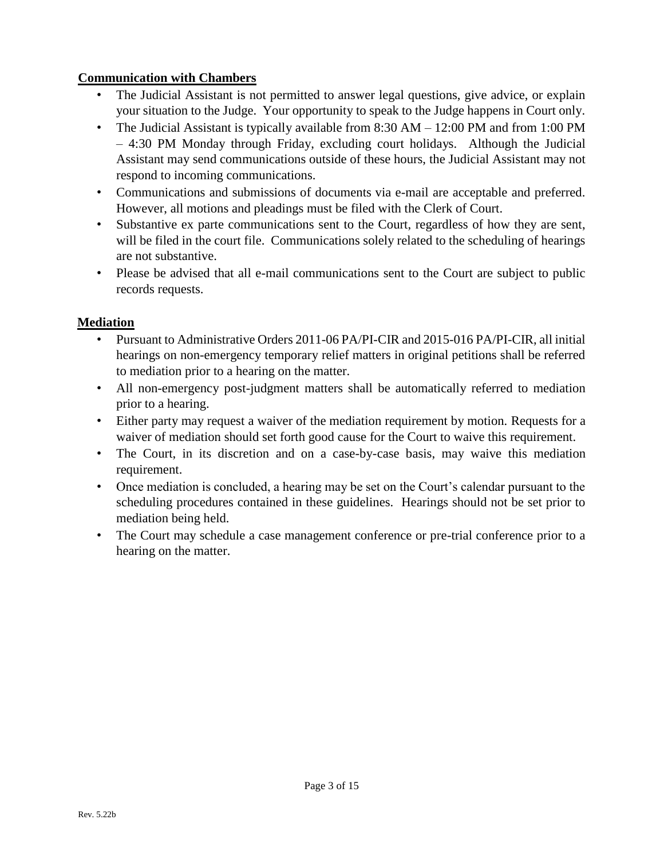#### <span id="page-2-0"></span>**Communication with Chambers**

- The Judicial Assistant is not permitted to answer legal questions, give advice, or explain your situation to the Judge. Your opportunity to speak to the Judge happens in Court only.
- The Judicial Assistant is typically available from 8:30 AM 12:00 PM and from 1:00 PM – 4:30 PM Monday through Friday, excluding court holidays. Although the Judicial Assistant may send communications outside of these hours, the Judicial Assistant may not respond to incoming communications.
- Communications and submissions of documents via e-mail are acceptable and preferred. However, all motions and pleadings must be filed with the Clerk of Court.
- Substantive ex parte communications sent to the Court, regardless of how they are sent, will be filed in the court file. Communications solely related to the scheduling of hearings are not substantive.
- Please be advised that all e-mail communications sent to the Court are subject to public records requests.

#### <span id="page-2-1"></span>**Mediation**

- Pursuant to Administrative Orders 2011-06 PA/PI-CIR and 2015-016 PA/PI-CIR, all initial hearings on non-emergency temporary relief matters in original petitions shall be referred to mediation prior to a hearing on the matter.
- All non-emergency post-judgment matters shall be automatically referred to mediation prior to a hearing.
- Either party may request a waiver of the mediation requirement by motion. Requests for a waiver of mediation should set forth good cause for the Court to waive this requirement.
- The Court, in its discretion and on a case-by-case basis, may waive this mediation requirement.
- Once mediation is concluded, a hearing may be set on the Court's calendar pursuant to the scheduling procedures contained in these guidelines. Hearings should not be set prior to mediation being held.
- The Court may schedule a case management conference or pre-trial conference prior to a hearing on the matter.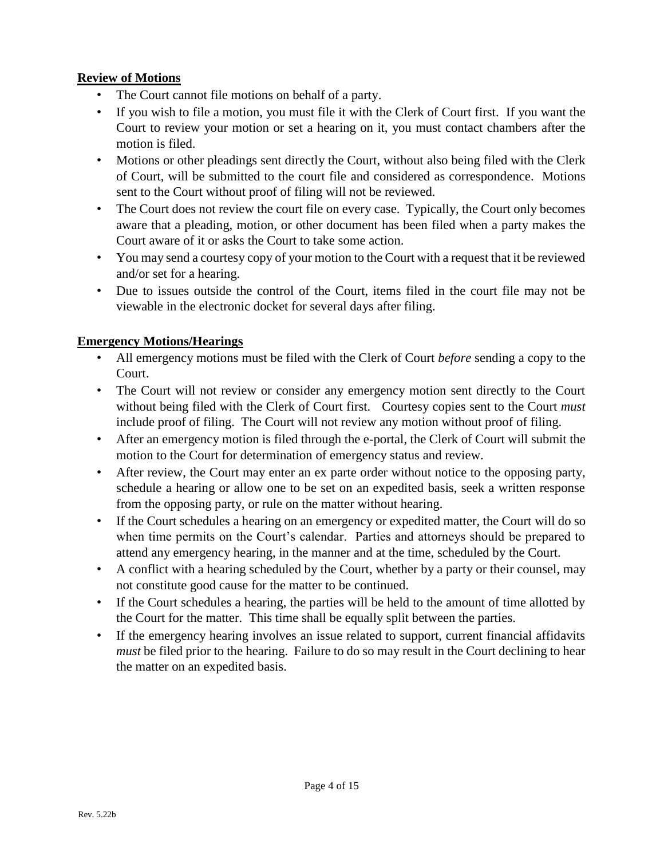## <span id="page-3-0"></span>**Review of Motions**

- The Court cannot file motions on behalf of a party.
- If you wish to file a motion, you must file it with the Clerk of Court first. If you want the Court to review your motion or set a hearing on it, you must contact chambers after the motion is filed.
- Motions or other pleadings sent directly the Court, without also being filed with the Clerk of Court, will be submitted to the court file and considered as correspondence. Motions sent to the Court without proof of filing will not be reviewed.
- The Court does not review the court file on every case. Typically, the Court only becomes aware that a pleading, motion, or other document has been filed when a party makes the Court aware of it or asks the Court to take some action.
- You may send a courtesy copy of your motion to the Court with a request that it be reviewed and/or set for a hearing.
- Due to issues outside the control of the Court, items filed in the court file may not be viewable in the electronic docket for several days after filing.

#### <span id="page-3-1"></span>**Emergency Motions/Hearings**

- All emergency motions must be filed with the Clerk of Court *before* sending a copy to the Court.
- The Court will not review or consider any emergency motion sent directly to the Court without being filed with the Clerk of Court first. Courtesy copies sent to the Court *must* include proof of filing. The Court will not review any motion without proof of filing.
- After an emergency motion is filed through the e-portal, the Clerk of Court will submit the motion to the Court for determination of emergency status and review.
- After review, the Court may enter an ex parte order without notice to the opposing party, schedule a hearing or allow one to be set on an expedited basis, seek a written response from the opposing party, or rule on the matter without hearing.
- If the Court schedules a hearing on an emergency or expedited matter, the Court will do so when time permits on the Court's calendar. Parties and attorneys should be prepared to attend any emergency hearing, in the manner and at the time, scheduled by the Court.
- A conflict with a hearing scheduled by the Court, whether by a party or their counsel, may not constitute good cause for the matter to be continued.
- If the Court schedules a hearing, the parties will be held to the amount of time allotted by the Court for the matter. This time shall be equally split between the parties.
- If the emergency hearing involves an issue related to support, current financial affidavits *must* be filed prior to the hearing. Failure to do so may result in the Court declining to hear the matter on an expedited basis.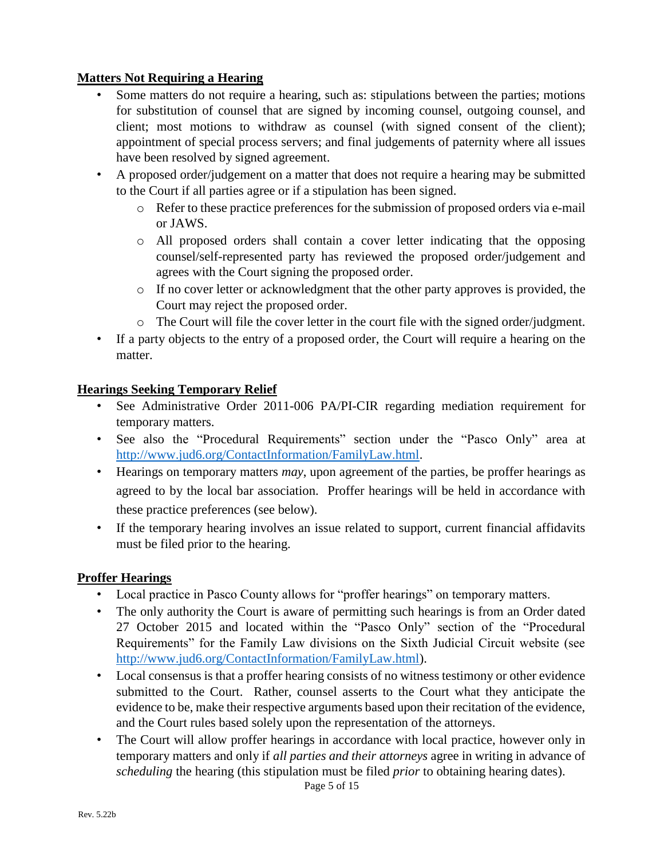## <span id="page-4-0"></span>**Matters Not Requiring a Hearing**

- Some matters do not require a hearing, such as: stipulations between the parties; motions for substitution of counsel that are signed by incoming counsel, outgoing counsel, and client; most motions to withdraw as counsel (with signed consent of the client); appointment of special process servers; and final judgements of paternity where all issues have been resolved by signed agreement.
- A proposed order/judgement on a matter that does not require a hearing may be submitted to the Court if all parties agree or if a stipulation has been signed.
	- o Refer to these practice preferences for the submission of proposed orders via e-mail or JAWS.
	- o All proposed orders shall contain a cover letter indicating that the opposing counsel/self-represented party has reviewed the proposed order/judgement and agrees with the Court signing the proposed order.
	- o If no cover letter or acknowledgment that the other party approves is provided, the Court may reject the proposed order.
	- o The Court will file the cover letter in the court file with the signed order/judgment.
- If a party objects to the entry of a proposed order, the Court will require a hearing on the matter.

#### <span id="page-4-1"></span>**Hearings Seeking Temporary Relief**

- See Administrative Order 2011-006 PA/PI-CIR regarding mediation requirement for temporary matters.
- See also the "Procedural Requirements" section under the "Pasco Only" area at [http://www.jud6.org/ContactInformation/FamilyLaw.html.](http://www.jud6.org/ContactInformation/FamilyLaw.html)
- Hearings on temporary matters *may*, upon agreement of the parties, be proffer hearings as agreed to by the local bar association. Proffer hearings will be held in accordance with these practice preferences (see below).
- If the temporary hearing involves an issue related to support, current financial affidavits must be filed prior to the hearing.

# <span id="page-4-2"></span>**Proffer Hearings**

- Local practice in Pasco County allows for "proffer hearings" on temporary matters.
- The only authority the Court is aware of permitting such hearings is from an Order dated 27 October 2015 and located within the "Pasco Only" section of the "Procedural Requirements" for the Family Law divisions on the Sixth Judicial Circuit website (see [http://www.jud6.org/ContactInformation/FamilyLaw.html\)](http://www.jud6.org/ContactInformation/FamilyLaw.html).
- Local consensus is that a proffer hearing consists of no witness testimony or other evidence submitted to the Court. Rather, counsel asserts to the Court what they anticipate the evidence to be, make their respective arguments based upon their recitation of the evidence, and the Court rules based solely upon the representation of the attorneys.
- The Court will allow proffer hearings in accordance with local practice, however only in temporary matters and only if *all parties and their attorneys* agree in writing in advance of *scheduling* the hearing (this stipulation must be filed *prior* to obtaining hearing dates).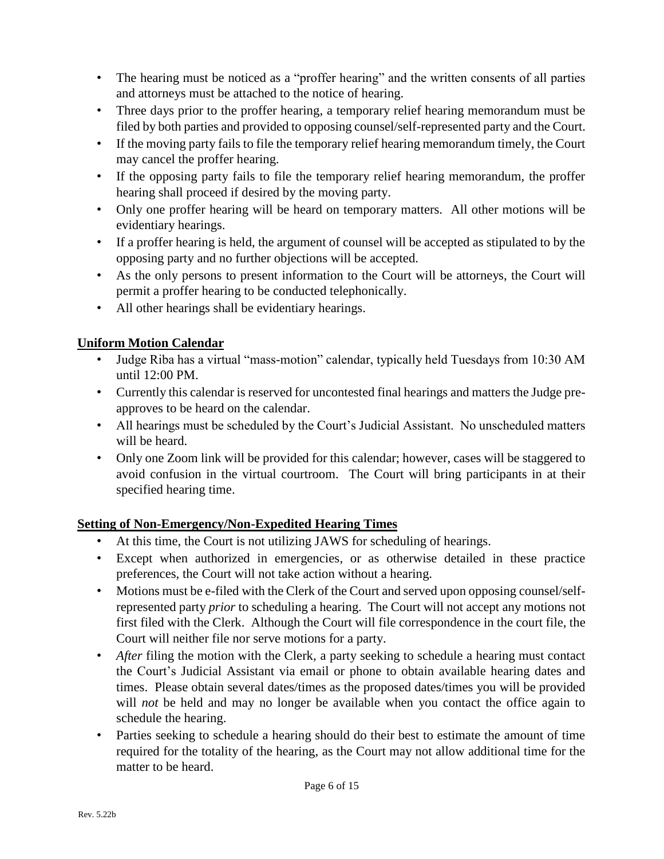- The hearing must be noticed as a "proffer hearing" and the written consents of all parties and attorneys must be attached to the notice of hearing.
- Three days prior to the proffer hearing, a temporary relief hearing memorandum must be filed by both parties and provided to opposing counsel/self-represented party and the Court.
- If the moving party fails to file the temporary relief hearing memorandum timely, the Court may cancel the proffer hearing.
- If the opposing party fails to file the temporary relief hearing memorandum, the proffer hearing shall proceed if desired by the moving party.
- Only one proffer hearing will be heard on temporary matters. All other motions will be evidentiary hearings.
- If a proffer hearing is held, the argument of counsel will be accepted as stipulated to by the opposing party and no further objections will be accepted.
- As the only persons to present information to the Court will be attorneys, the Court will permit a proffer hearing to be conducted telephonically.
- All other hearings shall be evidentiary hearings.

# <span id="page-5-0"></span>**Uniform Motion Calendar**

- Judge Riba has a virtual "mass-motion" calendar, typically held Tuesdays from 10:30 AM until 12:00 PM.
- Currently this calendar is reserved for uncontested final hearings and matters the Judge preapproves to be heard on the calendar.
- All hearings must be scheduled by the Court's Judicial Assistant. No unscheduled matters will be heard.
- Only one Zoom link will be provided for this calendar; however, cases will be staggered to avoid confusion in the virtual courtroom. The Court will bring participants in at their specified hearing time.

# <span id="page-5-1"></span>**Setting of Non-Emergency/Non-Expedited Hearing Times**

- At this time, the Court is not utilizing JAWS for scheduling of hearings.
- Except when authorized in emergencies, or as otherwise detailed in these practice preferences, the Court will not take action without a hearing.
- Motions must be e-filed with the Clerk of the Court and served upon opposing counsel/selfrepresented party *prior* to scheduling a hearing. The Court will not accept any motions not first filed with the Clerk. Although the Court will file correspondence in the court file, the Court will neither file nor serve motions for a party.
- *After* filing the motion with the Clerk, a party seeking to schedule a hearing must contact the Court's Judicial Assistant via email or phone to obtain available hearing dates and times. Please obtain several dates/times as the proposed dates/times you will be provided will *not* be held and may no longer be available when you contact the office again to schedule the hearing.
- Parties seeking to schedule a hearing should do their best to estimate the amount of time required for the totality of the hearing, as the Court may not allow additional time for the matter to be heard.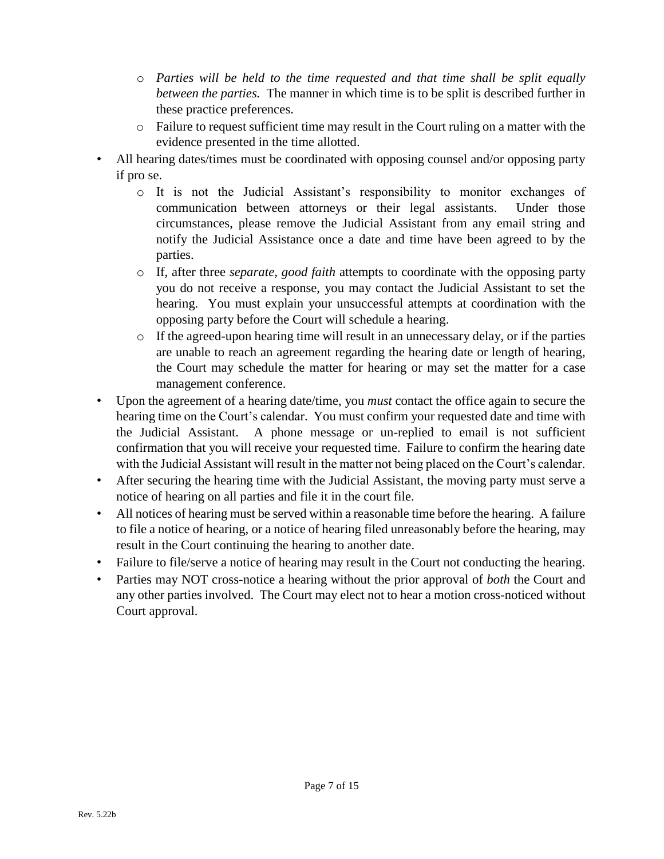- o *Parties will be held to the time requested and that time shall be split equally between the parties.* The manner in which time is to be split is described further in these practice preferences.
- o Failure to request sufficient time may result in the Court ruling on a matter with the evidence presented in the time allotted.
- All hearing dates/times must be coordinated with opposing counsel and/or opposing party if pro se.
	- o It is not the Judicial Assistant's responsibility to monitor exchanges of communication between attorneys or their legal assistants. Under those circumstances, please remove the Judicial Assistant from any email string and notify the Judicial Assistance once a date and time have been agreed to by the parties.
	- o If, after three *separate, good faith* attempts to coordinate with the opposing party you do not receive a response, you may contact the Judicial Assistant to set the hearing. You must explain your unsuccessful attempts at coordination with the opposing party before the Court will schedule a hearing.
	- $\circ$  If the agreed-upon hearing time will result in an unnecessary delay, or if the parties are unable to reach an agreement regarding the hearing date or length of hearing, the Court may schedule the matter for hearing or may set the matter for a case management conference.
- Upon the agreement of a hearing date/time, you *must* contact the office again to secure the hearing time on the Court's calendar. You must confirm your requested date and time with the Judicial Assistant. A phone message or un-replied to email is not sufficient confirmation that you will receive your requested time. Failure to confirm the hearing date with the Judicial Assistant will result in the matter not being placed on the Court's calendar.
- After securing the hearing time with the Judicial Assistant, the moving party must serve a notice of hearing on all parties and file it in the court file.
- All notices of hearing must be served within a reasonable time before the hearing. A failure to file a notice of hearing, or a notice of hearing filed unreasonably before the hearing, may result in the Court continuing the hearing to another date.
- Failure to file/serve a notice of hearing may result in the Court not conducting the hearing.
- Parties may NOT cross-notice a hearing without the prior approval of *both* the Court and any other parties involved. The Court may elect not to hear a motion cross-noticed without Court approval.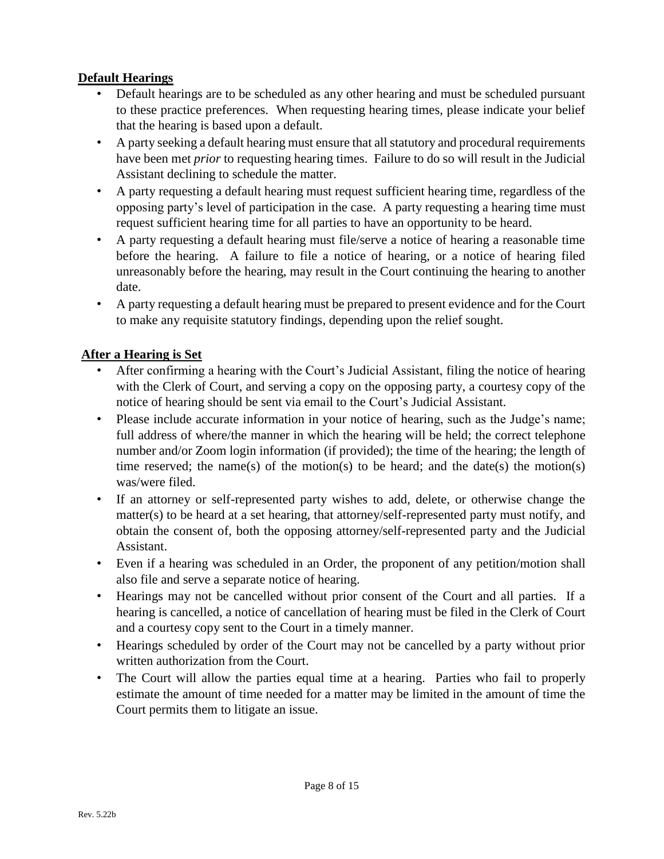## <span id="page-7-0"></span>**Default Hearings**

- Default hearings are to be scheduled as any other hearing and must be scheduled pursuant to these practice preferences. When requesting hearing times, please indicate your belief that the hearing is based upon a default.
- A party seeking a default hearing must ensure that all statutory and procedural requirements have been met *prior* to requesting hearing times. Failure to do so will result in the Judicial Assistant declining to schedule the matter.
- A party requesting a default hearing must request sufficient hearing time, regardless of the opposing party's level of participation in the case. A party requesting a hearing time must request sufficient hearing time for all parties to have an opportunity to be heard.
- A party requesting a default hearing must file/serve a notice of hearing a reasonable time before the hearing. A failure to file a notice of hearing, or a notice of hearing filed unreasonably before the hearing, may result in the Court continuing the hearing to another date.
- A party requesting a default hearing must be prepared to present evidence and for the Court to make any requisite statutory findings, depending upon the relief sought.

## <span id="page-7-1"></span>**After a Hearing is Set**

- After confirming a hearing with the Court's Judicial Assistant, filing the notice of hearing with the Clerk of Court, and serving a copy on the opposing party, a courtesy copy of the notice of hearing should be sent via email to the Court's Judicial Assistant.
- Please include accurate information in your notice of hearing, such as the Judge's name; full address of where/the manner in which the hearing will be held; the correct telephone number and/or Zoom login information (if provided); the time of the hearing; the length of time reserved; the name(s) of the motion(s) to be heard; and the date(s) the motion(s) was/were filed.
- If an attorney or self-represented party wishes to add, delete, or otherwise change the matter(s) to be heard at a set hearing, that attorney/self-represented party must notify, and obtain the consent of, both the opposing attorney/self-represented party and the Judicial Assistant.
- Even if a hearing was scheduled in an Order, the proponent of any petition/motion shall also file and serve a separate notice of hearing.
- Hearings may not be cancelled without prior consent of the Court and all parties. If a hearing is cancelled, a notice of cancellation of hearing must be filed in the Clerk of Court and a courtesy copy sent to the Court in a timely manner.
- Hearings scheduled by order of the Court may not be cancelled by a party without prior written authorization from the Court.
- The Court will allow the parties equal time at a hearing. Parties who fail to properly estimate the amount of time needed for a matter may be limited in the amount of time the Court permits them to litigate an issue.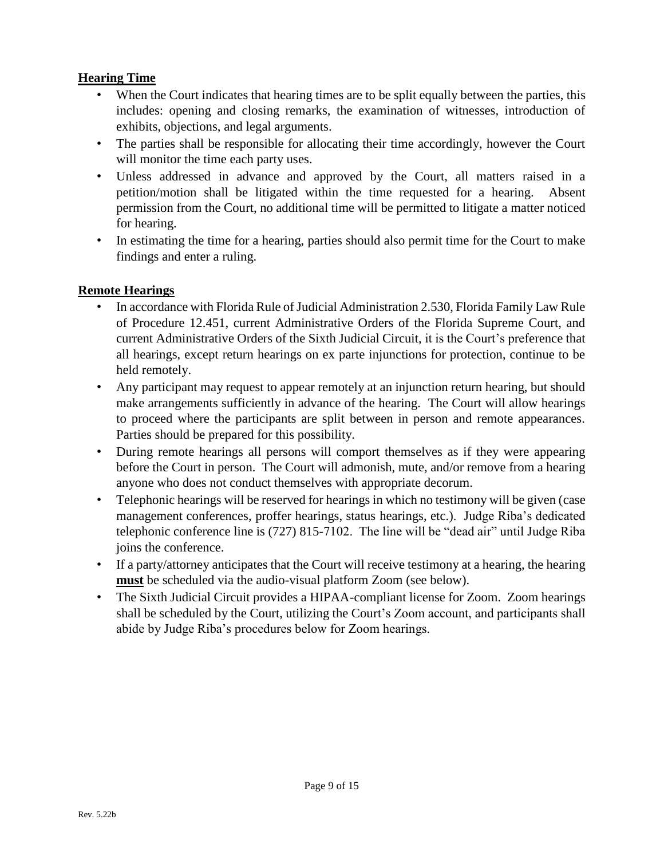## <span id="page-8-0"></span>**Hearing Time**

- When the Court indicates that hearing times are to be split equally between the parties, this includes: opening and closing remarks, the examination of witnesses, introduction of exhibits, objections, and legal arguments.
- The parties shall be responsible for allocating their time accordingly, however the Court will monitor the time each party uses.
- Unless addressed in advance and approved by the Court, all matters raised in a petition/motion shall be litigated within the time requested for a hearing. Absent permission from the Court, no additional time will be permitted to litigate a matter noticed for hearing.
- In estimating the time for a hearing, parties should also permit time for the Court to make findings and enter a ruling.

## <span id="page-8-1"></span>**Remote Hearings**

- In accordance with Florida Rule of Judicial Administration 2.530, Florida Family Law Rule of Procedure 12.451, current Administrative Orders of the Florida Supreme Court, and current Administrative Orders of the Sixth Judicial Circuit, it is the Court's preference that all hearings, except return hearings on ex parte injunctions for protection, continue to be held remotely.
- Any participant may request to appear remotely at an injunction return hearing, but should make arrangements sufficiently in advance of the hearing. The Court will allow hearings to proceed where the participants are split between in person and remote appearances. Parties should be prepared for this possibility.
- During remote hearings all persons will comport themselves as if they were appearing before the Court in person. The Court will admonish, mute, and/or remove from a hearing anyone who does not conduct themselves with appropriate decorum.
- Telephonic hearings will be reserved for hearings in which no testimony will be given (case management conferences, proffer hearings, status hearings, etc.). Judge Riba's dedicated telephonic conference line is (727) 815-7102. The line will be "dead air" until Judge Riba joins the conference.
- If a party/attorney anticipates that the Court will receive testimony at a hearing, the hearing **must** be scheduled via the audio-visual platform Zoom (see below).
- The Sixth Judicial Circuit provides a HIPAA-compliant license for Zoom. Zoom hearings shall be scheduled by the Court, utilizing the Court's Zoom account, and participants shall abide by Judge Riba's procedures below for Zoom hearings.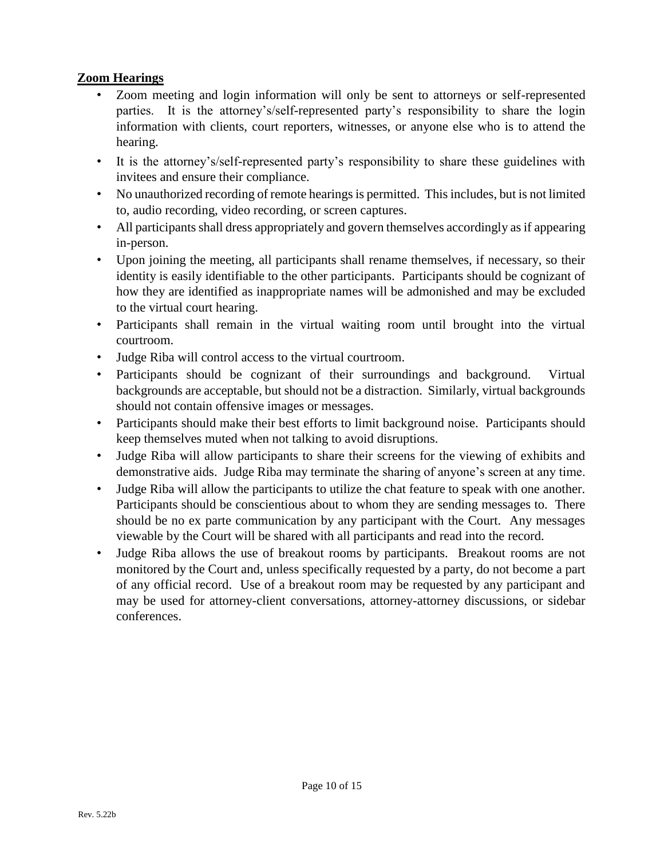# <span id="page-9-0"></span>**Zoom Hearings**

- Zoom meeting and login information will only be sent to attorneys or self-represented parties. It is the attorney's/self-represented party's responsibility to share the login information with clients, court reporters, witnesses, or anyone else who is to attend the hearing.
- It is the attorney's/self-represented party's responsibility to share these guidelines with invitees and ensure their compliance.
- No unauthorized recording of remote hearings is permitted. This includes, but is not limited to, audio recording, video recording, or screen captures.
- All participants shall dress appropriately and govern themselves accordingly as if appearing in-person.
- Upon joining the meeting, all participants shall rename themselves, if necessary, so their identity is easily identifiable to the other participants. Participants should be cognizant of how they are identified as inappropriate names will be admonished and may be excluded to the virtual court hearing.
- Participants shall remain in the virtual waiting room until brought into the virtual courtroom.
- Judge Riba will control access to the virtual courtroom.
- Participants should be cognizant of their surroundings and background. Virtual backgrounds are acceptable, but should not be a distraction. Similarly, virtual backgrounds should not contain offensive images or messages.
- Participants should make their best efforts to limit background noise. Participants should keep themselves muted when not talking to avoid disruptions.
- Judge Riba will allow participants to share their screens for the viewing of exhibits and demonstrative aids. Judge Riba may terminate the sharing of anyone's screen at any time.
- Judge Riba will allow the participants to utilize the chat feature to speak with one another. Participants should be conscientious about to whom they are sending messages to. There should be no ex parte communication by any participant with the Court. Any messages viewable by the Court will be shared with all participants and read into the record.
- Judge Riba allows the use of breakout rooms by participants. Breakout rooms are not monitored by the Court and, unless specifically requested by a party, do not become a part of any official record. Use of a breakout room may be requested by any participant and may be used for attorney-client conversations, attorney-attorney discussions, or sidebar conferences.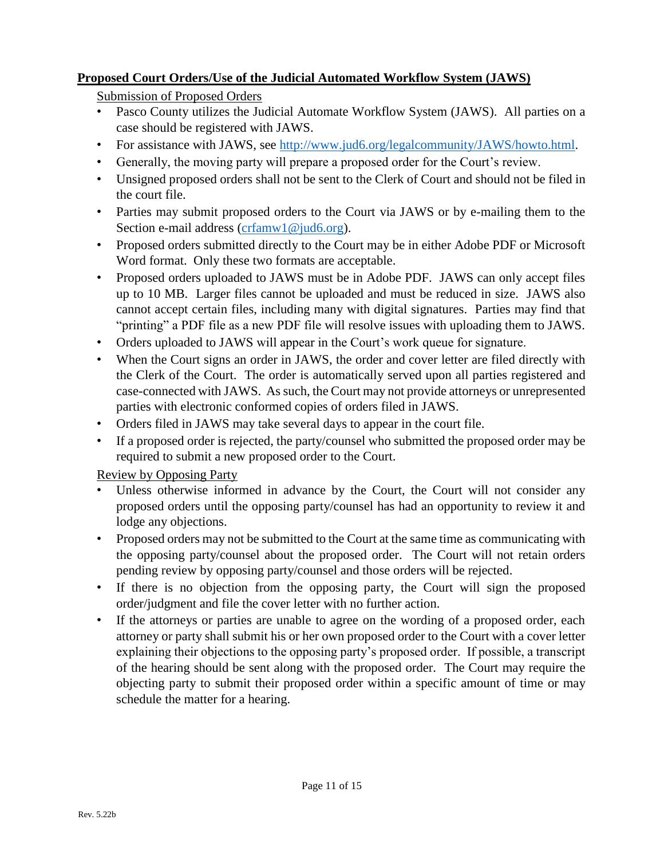## <span id="page-10-1"></span><span id="page-10-0"></span>**Proposed Court Orders/Use of the Judicial Automated Workflow System (JAWS)**

Submission of Proposed Orders

- Pasco County utilizes the Judicial Automate Workflow System (JAWS). All parties on a case should be registered with JAWS.
- For assistance with JAWS, see [http://www.jud6.org/legalcommunity/JAWS/howto.html.](http://www.jud6.org/legalcommunity/JAWS/howto.html)
- Generally, the moving party will prepare a proposed order for the Court's review.
- Unsigned proposed orders shall not be sent to the Clerk of Court and should not be filed in the court file.
- Parties may submit proposed orders to the Court via JAWS or by e-mailing them to the Section e-mail address [\(crfamw1@jud6.org\)](mailto:crfamw1@jud6.org).
- Proposed orders submitted directly to the Court may be in either Adobe PDF or Microsoft Word format. Only these two formats are acceptable.
- Proposed orders uploaded to JAWS must be in Adobe PDF. JAWS can only accept files up to 10 MB. Larger files cannot be uploaded and must be reduced in size. JAWS also cannot accept certain files, including many with digital signatures. Parties may find that "printing" a PDF file as a new PDF file will resolve issues with uploading them to JAWS.
- Orders uploaded to JAWS will appear in the Court's work queue for signature.
- When the Court signs an order in JAWS, the order and cover letter are filed directly with the Clerk of the Court. The order is automatically served upon all parties registered and case-connected with JAWS. As such, the Court may not provide attorneys or unrepresented parties with electronic conformed copies of orders filed in JAWS.
- Orders filed in JAWS may take several days to appear in the court file.
- If a proposed order is rejected, the party/counsel who submitted the proposed order may be required to submit a new proposed order to the Court.

<span id="page-10-2"></span>Review by Opposing Party

- Unless otherwise informed in advance by the Court, the Court will not consider any proposed orders until the opposing party/counsel has had an opportunity to review it and lodge any objections.
- Proposed orders may not be submitted to the Court at the same time as communicating with the opposing party/counsel about the proposed order. The Court will not retain orders pending review by opposing party/counsel and those orders will be rejected.
- If there is no objection from the opposing party, the Court will sign the proposed order/judgment and file the cover letter with no further action.
- If the attorneys or parties are unable to agree on the wording of a proposed order, each attorney or party shall submit his or her own proposed order to the Court with a cover letter explaining their objections to the opposing party's proposed order. If possible, a transcript of the hearing should be sent along with the proposed order. The Court may require the objecting party to submit their proposed order within a specific amount of time or may schedule the matter for a hearing.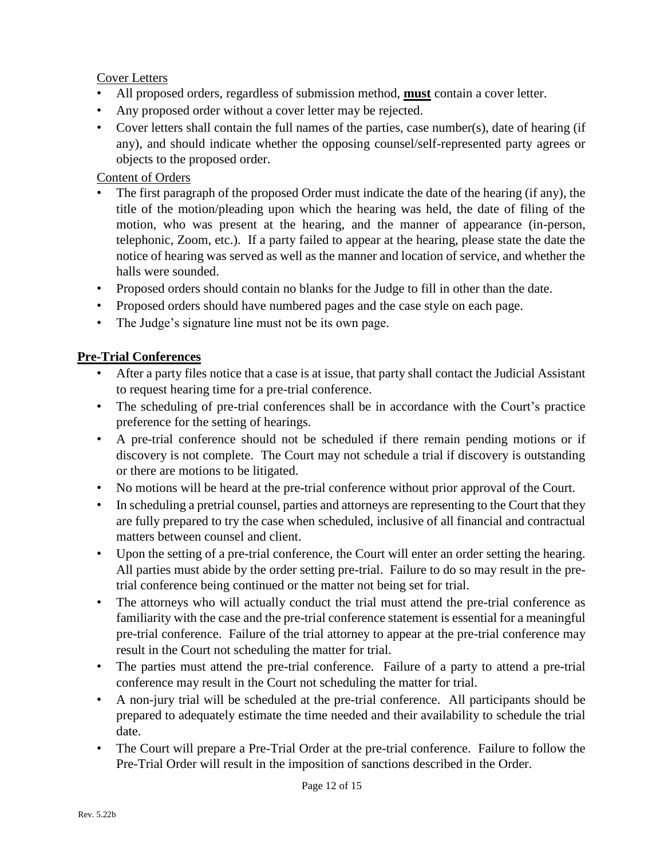#### <span id="page-11-0"></span>Cover Letters

- All proposed orders, regardless of submission method, **must** contain a cover letter.
- Any proposed order without a cover letter may be rejected.
- Cover letters shall contain the full names of the parties, case number(s), date of hearing (if any), and should indicate whether the opposing counsel/self-represented party agrees or objects to the proposed order.

## <span id="page-11-1"></span>Content of Orders

- The first paragraph of the proposed Order must indicate the date of the hearing (if any), the title of the motion/pleading upon which the hearing was held, the date of filing of the motion, who was present at the hearing, and the manner of appearance (in-person, telephonic, Zoom, etc.). If a party failed to appear at the hearing, please state the date the notice of hearing was served as well as the manner and location of service, and whether the halls were sounded.
- Proposed orders should contain no blanks for the Judge to fill in other than the date.
- Proposed orders should have numbered pages and the case style on each page.
- The Judge's signature line must not be its own page.

## <span id="page-11-2"></span>**Pre-Trial Conferences**

- After a party files notice that a case is at issue, that party shall contact the Judicial Assistant to request hearing time for a pre-trial conference.
- The scheduling of pre-trial conferences shall be in accordance with the Court's practice preference for the setting of hearings.
- A pre-trial conference should not be scheduled if there remain pending motions or if discovery is not complete. The Court may not schedule a trial if discovery is outstanding or there are motions to be litigated.
- No motions will be heard at the pre-trial conference without prior approval of the Court.
- In scheduling a pretrial counsel, parties and attorneys are representing to the Court that they are fully prepared to try the case when scheduled, inclusive of all financial and contractual matters between counsel and client.
- Upon the setting of a pre-trial conference, the Court will enter an order setting the hearing. All parties must abide by the order setting pre-trial. Failure to do so may result in the pretrial conference being continued or the matter not being set for trial.
- The attorneys who will actually conduct the trial must attend the pre-trial conference as familiarity with the case and the pre-trial conference statement is essential for a meaningful pre-trial conference. Failure of the trial attorney to appear at the pre-trial conference may result in the Court not scheduling the matter for trial.
- The parties must attend the pre-trial conference. Failure of a party to attend a pre-trial conference may result in the Court not scheduling the matter for trial.
- A non-jury trial will be scheduled at the pre-trial conference. All participants should be prepared to adequately estimate the time needed and their availability to schedule the trial date.
- The Court will prepare a Pre-Trial Order at the pre-trial conference. Failure to follow the Pre-Trial Order will result in the imposition of sanctions described in the Order.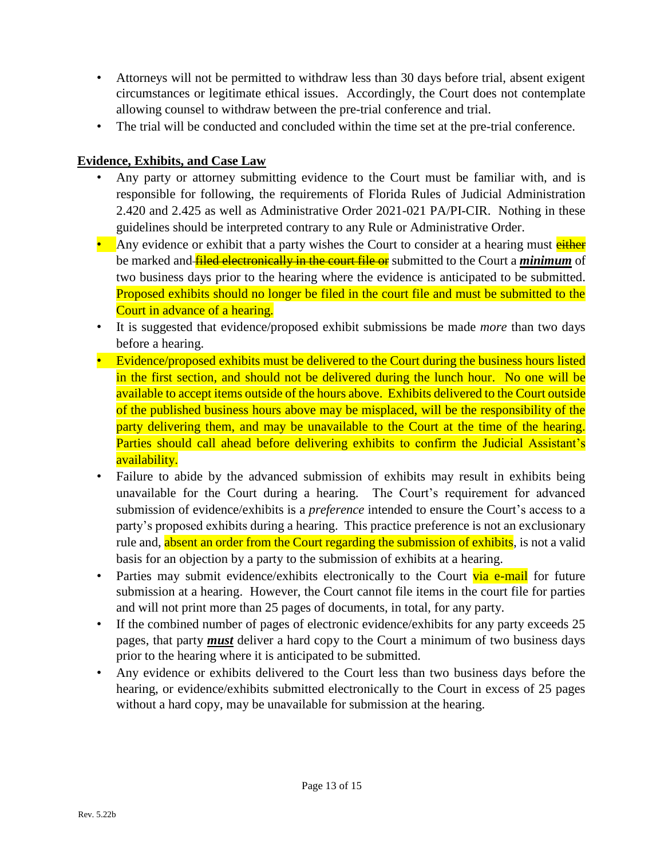- Attorneys will not be permitted to withdraw less than 30 days before trial, absent exigent circumstances or legitimate ethical issues. Accordingly, the Court does not contemplate allowing counsel to withdraw between the pre-trial conference and trial.
- The trial will be conducted and concluded within the time set at the pre-trial conference.

# <span id="page-12-0"></span>**Evidence, Exhibits, and Case Law**

- Any party or attorney submitting evidence to the Court must be familiar with, and is responsible for following, the requirements of Florida Rules of Judicial Administration 2.420 and 2.425 as well as Administrative Order 2021-021 PA/PI-CIR. Nothing in these guidelines should be interpreted contrary to any Rule or Administrative Order.
- Any evidence or exhibit that a party wishes the Court to consider at a hearing must either be marked and **filed electronically in the court file or** submitted to the Court a *minimum* of two business days prior to the hearing where the evidence is anticipated to be submitted. Proposed exhibits should no longer be filed in the court file and must be submitted to the Court in advance of a hearing.
- It is suggested that evidence/proposed exhibit submissions be made *more* than two days before a hearing.
- Evidence/proposed exhibits must be delivered to the Court during the business hours listed in the first section, and should not be delivered during the lunch hour. No one will be available to accept items outside of the hours above. Exhibits delivered to the Court outside of the published business hours above may be misplaced, will be the responsibility of the party delivering them, and may be unavailable to the Court at the time of the hearing. Parties should call ahead before delivering exhibits to confirm the Judicial Assistant's availability.
- Failure to abide by the advanced submission of exhibits may result in exhibits being unavailable for the Court during a hearing. The Court's requirement for advanced submission of evidence/exhibits is a *preference* intended to ensure the Court's access to a party's proposed exhibits during a hearing. This practice preference is not an exclusionary rule and, absent an order from the Court regarding the submission of exhibits, is not a valid basis for an objection by a party to the submission of exhibits at a hearing.
- Parties may submit evidence/exhibits electronically to the Court via e-mail for future submission at a hearing. However, the Court cannot file items in the court file for parties and will not print more than 25 pages of documents, in total, for any party.
- If the combined number of pages of electronic evidence/exhibits for any party exceeds 25 pages, that party *must* deliver a hard copy to the Court a minimum of two business days prior to the hearing where it is anticipated to be submitted.
- Any evidence or exhibits delivered to the Court less than two business days before the hearing, or evidence/exhibits submitted electronically to the Court in excess of 25 pages without a hard copy, may be unavailable for submission at the hearing.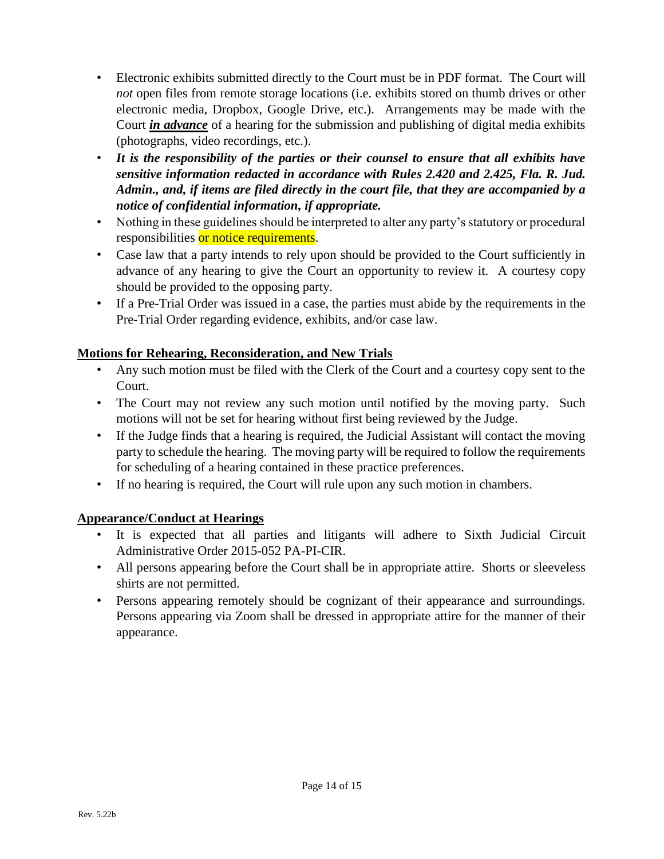- Electronic exhibits submitted directly to the Court must be in PDF format. The Court will *not* open files from remote storage locations (i.e. exhibits stored on thumb drives or other electronic media, Dropbox, Google Drive, etc.). Arrangements may be made with the Court *in advance* of a hearing for the submission and publishing of digital media exhibits (photographs, video recordings, etc.).
- *It is the responsibility of the parties or their counsel to ensure that all exhibits have sensitive information redacted in accordance with Rules 2.420 and 2.425, Fla. R. Jud. Admin., and, if items are filed directly in the court file, that they are accompanied by a notice of confidential information, if appropriate.*
- Nothing in these guidelines should be interpreted to alter any party's statutory or procedural responsibilities or notice requirements.
- Case law that a party intends to rely upon should be provided to the Court sufficiently in advance of any hearing to give the Court an opportunity to review it. A courtesy copy should be provided to the opposing party.
- If a Pre-Trial Order was issued in a case, the parties must abide by the requirements in the Pre-Trial Order regarding evidence, exhibits, and/or case law.

# <span id="page-13-0"></span>**Motions for Rehearing, Reconsideration, and New Trials**

- Any such motion must be filed with the Clerk of the Court and a courtesy copy sent to the Court.
- The Court may not review any such motion until notified by the moving party. Such motions will not be set for hearing without first being reviewed by the Judge.
- If the Judge finds that a hearing is required, the Judicial Assistant will contact the moving party to schedule the hearing. The moving party will be required to follow the requirements for scheduling of a hearing contained in these practice preferences.
- If no hearing is required, the Court will rule upon any such motion in chambers.

# <span id="page-13-1"></span>**Appearance/Conduct at Hearings**

- It is expected that all parties and litigants will adhere to Sixth Judicial Circuit Administrative Order 2015-052 PA-PI-CIR.
- All persons appearing before the Court shall be in appropriate attire. Shorts or sleeveless shirts are not permitted.
- Persons appearing remotely should be cognizant of their appearance and surroundings. Persons appearing via Zoom shall be dressed in appropriate attire for the manner of their appearance.